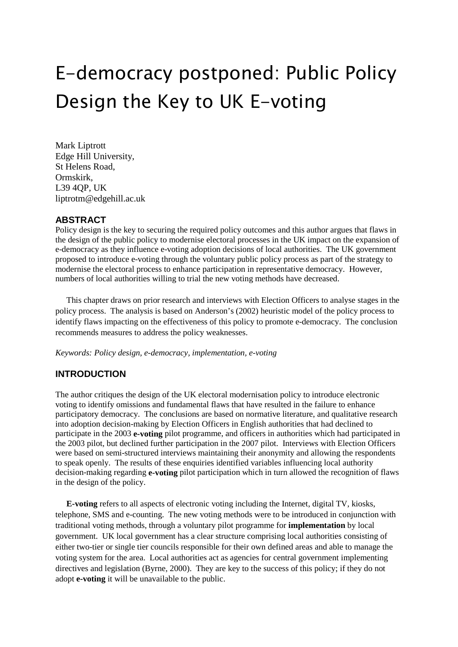# E-democracy postponed: Public Policy Design the Key to UK E-voting

Mark Liptrott Edge Hill University, St Helens Road, Ormskirk, L39 4QP, UK liptrotm@edgehill.ac.uk

## **ABSTRACT**

Policy design is the key to securing the required policy outcomes and this author argues that flaws in the design of the public policy to modernise electoral processes in the UK impact on the expansion of e-democracy as they influence e-voting adoption decisions of local authorities. The UK government proposed to introduce e-voting through the voluntary public policy process as part of the strategy to modernise the electoral process to enhance participation in representative democracy. However, numbers of local authorities willing to trial the new voting methods have decreased.

This chapter draws on prior research and interviews with Election Officers to analyse stages in the policy process. The analysis is based on Anderson's (2002) heuristic model of the policy process to identify flaws impacting on the effectiveness of this policy to promote e-democracy. The conclusion recommends measures to address the policy weaknesses.

*Keywords: Policy design, e-democracy, implementation, e-voting*

## **INTRODUCTION**

The author critiques the design of the UK electoral modernisation policy to introduce electronic voting to identify omissions and fundamental flaws that have resulted in the failure to enhance participatory democracy. The conclusions are based on normative literature, and qualitative research into adoption decision-making by Election Officers in English authorities that had declined to participate in the 2003 **e-voting** pilot programme, and officers in authorities which had participated in the 2003 pilot, but declined further participation in the 2007 pilot. Interviews with Election Officers were based on semi-structured interviews maintaining their anonymity and allowing the respondents to speak openly. The results of these enquiries identified variables influencing local authority decision-making regarding **e-voting** pilot participation which in turn allowed the recognition of flaws in the design of the policy.

**E-voting** refers to all aspects of electronic voting including the Internet, digital TV, kiosks, telephone, SMS and e-counting. The new voting methods were to be introduced in conjunction with traditional voting methods, through a voluntary pilot programme for **implementation** by local government. UK local government has a clear structure comprising local authorities consisting of either two-tier or single tier councils responsible for their own defined areas and able to manage the voting system for the area. Local authorities act as agencies for central government implementing directives and legislation (Byrne, 2000). They are key to the success of this policy; if they do not adopt **e-voting** it will be unavailable to the public.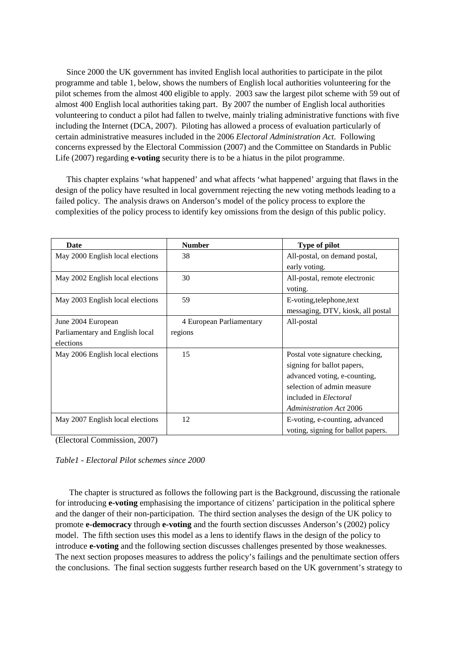Since 2000 the UK government has invited English local authorities to participate in the pilot programme and table 1, below, shows the numbers of English local authorities volunteering for the pilot schemes from the almost 400 eligible to apply. 2003 saw the largest pilot scheme with 59 out of almost 400 English local authorities taking part. By 2007 the number of English local authorities volunteering to conduct a pilot had fallen to twelve, mainly trialing administrative functions with five including the Internet (DCA, 2007). Piloting has allowed a process of evaluation particularly of certain administrative measures included in the 2006 *Electoral Administration Act*. Following concerns expressed by the Electoral Commission (2007) and the Committee on Standards in Public Life (2007) regarding **e-voting** security there is to be a hiatus in the pilot programme.

This chapter explains 'what happened' and what affects 'what happened' arguing that flaws in the design of the policy have resulted in local government rejecting the new voting methods leading to a failed policy. The analysis draws on Anderson's model of the policy process to explore the complexities of the policy process to identify key omissions from the design of this public policy.

| Date                             | <b>Number</b>            | <b>Type of pilot</b>               |
|----------------------------------|--------------------------|------------------------------------|
| May 2000 English local elections | 38                       | All-postal, on demand postal,      |
|                                  |                          | early voting.                      |
| May 2002 English local elections | 30                       | All-postal, remote electronic      |
|                                  |                          | voting.                            |
| May 2003 English local elections | 59                       | E-voting, telephone, text          |
|                                  |                          | messaging, DTV, kiosk, all postal  |
| June 2004 European               | 4 European Parliamentary | All-postal                         |
| Parliamentary and English local  | regions                  |                                    |
| elections                        |                          |                                    |
| May 2006 English local elections | 15                       | Postal vote signature checking,    |
|                                  |                          | signing for ballot papers,         |
|                                  |                          | advanced voting, e-counting,       |
|                                  |                          | selection of admin measure         |
|                                  |                          | included in <i>Electoral</i>       |
|                                  |                          | <b>Administration Act 2006</b>     |
| May 2007 English local elections | 12                       | E-voting, e-counting, advanced     |
|                                  |                          | voting, signing for ballot papers. |

(Electoral Commission, 2007)

*Table1 - Electoral Pilot schemes since 2000*

The chapter is structured as follows the following part is the Background, discussing the rationale for introducing **e-voting** emphasising the importance of citizens' participation in the political sphere and the danger of their non-participation. The third section analyses the design of the UK policy to promote **e-democracy** through **e-voting** and the fourth section discusses Anderson's (2002) policy model. The fifth section uses this model as a lens to identify flaws in the design of the policy to introduce **e-voting** and the following section discusses challenges presented by those weaknesses. The next section proposes measures to address the policy's failings and the penultimate section offers the conclusions. The final section suggests further research based on the UK government's strategy to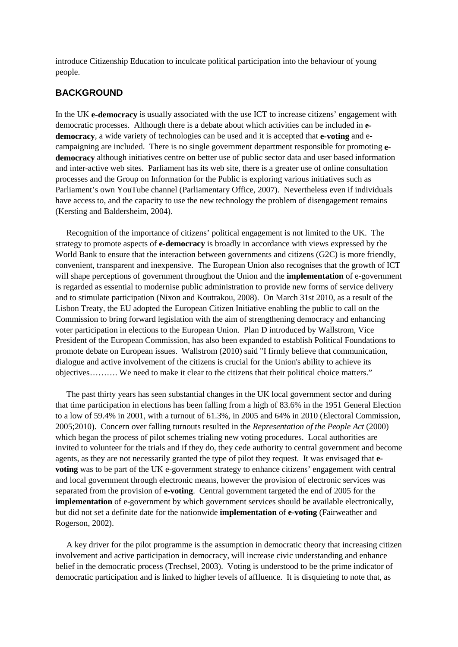introduce Citizenship Education to inculcate political participation into the behaviour of young people.

## **BACKGROUND**

In the UK **e-democracy** is usually associated with the use ICT to increase citizens' engagement with democratic processes. Although there is a debate about which activities can be included in **edemocracy**, a wide variety of technologies can be used and it is accepted that **e-voting** and ecampaigning are included. There is no single government department responsible for promoting **edemocracy** although initiatives centre on better use of public sector data and user based information and inter-active web sites. Parliament has its web site, there is a greater use of online consultation processes and the Group on Information for the Public is exploring various initiatives such as Parliament's own YouTube channel (Parliamentary Office, 2007). Nevertheless even if individuals have access to, and the capacity to use the new technology the problem of disengagement remains (Kersting and Baldersheim, 2004).

Recognition of the importance of citizens' political engagement is not limited to the UK. The strategy to promote aspects of **e-democracy** is broadly in accordance with views expressed by the World Bank to ensure that the interaction between governments and citizens (G2C) is more friendly, convenient, transparent and inexpensive. The European Union also recognises that the growth of ICT will shape perceptions of government throughout the Union and the **implementation** of e-government is regarded as essential to modernise public administration to provide new forms of service delivery and to stimulate participation (Nixon and Koutrakou, 2008). On March 31st 2010, as a result of the Lisbon Treaty, the EU adopted the European Citizen Initiative enabling the public to call on the Commission to bring forward legislation with the aim of strengthening democracy and enhancing voter participation in elections to the European Union. Plan D introduced by Wallstrom, Vice President of the European Commission, has also been expanded to establish Political Foundations to promote debate on European issues. Wallstrom (2010) said "I firmly believe that communication, dialogue and active involvement of the citizens is crucial for the Union's ability to achieve its objectives………. We need to make it clear to the citizens that their political choice matters."

The past thirty years has seen substantial changes in the UK local government sector and during that time participation in elections has been falling from a high of 83.6% in the 1951 General Election to a low of 59.4% in 2001, with a turnout of 61.3%, in 2005 and 64% in 2010 (Electoral Commission, 2005;2010). Concern over falling turnouts resulted in the *Representation of the People Act* (2000) which began the process of pilot schemes trialing new voting procedures. Local authorities are invited to volunteer for the trials and if they do, they cede authority to central government and become agents, as they are not necessarily granted the type of pilot they request. It was envisaged that **evoting** was to be part of the UK e-government strategy to enhance citizens' engagement with central and local government through electronic means, however the provision of electronic services was separated from the provision of **e-voting**. Central government targeted the end of 2005 for the **implementation** of e-government by which government services should be available electronically, but did not set a definite date for the nationwide **implementation** of **e-voting** (Fairweather and Rogerson, 2002).

A key driver for the pilot programme is the assumption in democratic theory that increasing citizen involvement and active participation in democracy, will increase civic understanding and enhance belief in the democratic process (Trechsel, 2003). Voting is understood to be the prime indicator of democratic participation and is linked to higher levels of affluence. It is disquieting to note that, as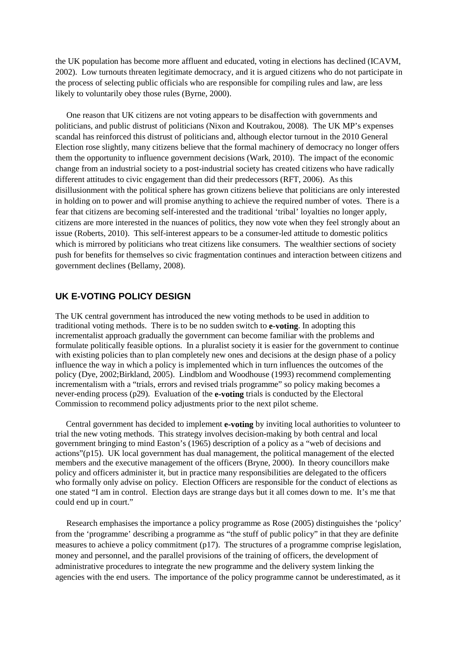the UK population has become more affluent and educated, voting in elections has declined (ICAVM, 2002). Low turnouts threaten legitimate democracy, and it is argued citizens who do not participate in the process of selecting public officials who are responsible for compiling rules and law, are less likely to voluntarily obey those rules (Byrne, 2000).

One reason that UK citizens are not voting appears to be disaffection with governments and politicians, and public distrust of politicians (Nixon and Koutrakou, 2008). The UK MP's expenses scandal has reinforced this distrust of politicians and, although elector turnout in the 2010 General Election rose slightly, many citizens believe that the formal machinery of democracy no longer offers them the opportunity to influence government decisions (Wark, 2010). The impact of the economic change from an industrial society to a post-industrial society has created citizens who have radically different attitudes to civic engagement than did their predecessors (RFT, 2006). As this disillusionment with the political sphere has grown citizens believe that politicians are only interested in holding on to power and will promise anything to achieve the required number of votes. There is a fear that citizens are becoming self-interested and the traditional 'tribal' loyalties no longer apply, citizens are more interested in the nuances of politics, they now vote when they feel strongly about an issue (Roberts, 2010). This self-interest appears to be a consumer-led attitude to domestic politics which is mirrored by politicians who treat citizens like consumers. The wealthier sections of society push for benefits for themselves so civic fragmentation continues and interaction between citizens and government declines (Bellamy, 2008).

### **UK E-VOTING POLICY DESIGN**

The UK central government has introduced the new voting methods to be used in addition to traditional voting methods. There is to be no sudden switch to **e-voting**. In adopting this incrementalist approach gradually the government can become familiar with the problems and formulate politically feasible options. In a pluralist society it is easier for the government to continue with existing policies than to plan completely new ones and decisions at the design phase of a policy influence the way in which a policy is implemented which in turn influences the outcomes of the policy (Dye, 2002;Birkland, 2005). Lindblom and Woodhouse (1993) recommend complementing incrementalism with a "trials, errors and revised trials programme" so policy making becomes a never-ending process (p29). Evaluation of the **e-voting** trials is conducted by the Electoral Commission to recommend policy adjustments prior to the next pilot scheme.

 Central government has decided to implement **e-voting** by inviting local authorities to volunteer to trial the new voting methods. This strategy involves decision-making by both central and local government bringing to mind Easton's (1965) description of a policy as a "web of decisions and actions"(p15). UK local government has dual management, the political management of the elected members and the executive management of the officers (Bryne, 2000). In theory councillors make policy and officers administer it, but in practice many responsibilities are delegated to the officers who formally only advise on policy. Election Officers are responsible for the conduct of elections as one stated "I am in control. Election days are strange days but it all comes down to me. It's me that could end up in court."

Research emphasises the importance a policy programme as Rose (2005) distinguishes the 'policy' from the 'programme' describing a programme as "the stuff of public policy" in that they are definite measures to achieve a policy commitment (p17). The structures of a programme comprise legislation, money and personnel, and the parallel provisions of the training of officers, the development of administrative procedures to integrate the new programme and the delivery system linking the agencies with the end users. The importance of the policy programme cannot be underestimated, as it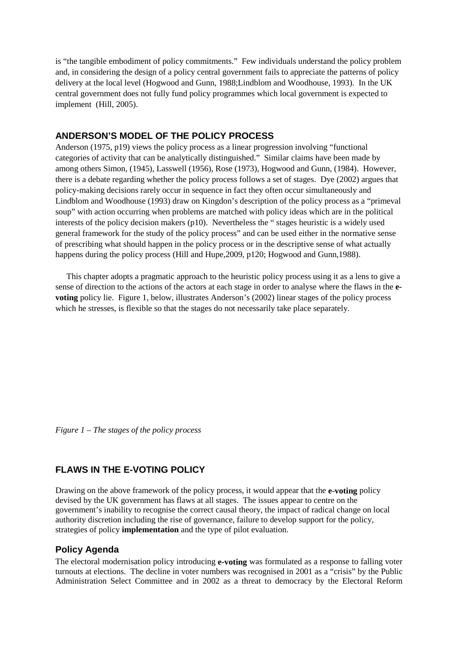is "the tangible embodiment of policy commitments." Few individuals understand the policy problem and, in considering the design of a policy central government fails to appreciate the patterns of policy delivery at the local level (Hogwood and Gunn, 1988;Lindblom and Woodhouse, 1993). In the UK central government does not fully fund policy programmes which local government is expected to implement (Hill, 2005).

## **ANDERSON'S MODEL OF THE POLICY PROCESS**

Anderson (1975, p19) views the policy process as a linear progression involving "functional categories of activity that can be analytically distinguished." Similar claims have been made by among others Simon, (1945), Lasswell (1956), Rose (1973), Hogwood and Gunn, (1984). However, there is a debate regarding whether the policy process follows a set of stages. Dye (2002) argues that policy-making decisions rarely occur in sequence in fact they often occur simultaneously and Lindblom and Woodhouse (1993) draw on Kingdon's description of the policy process as a "primeval soup" with action occurring when problems are matched with policy ideas which are in the political interests of the policy decision makers (p10). Nevertheless the " stages heuristic is a widely used general framework for the study of the policy process" and can be used either in the normative sense of prescribing what should happen in the policy process or in the descriptive sense of what actually happens during the policy process (Hill and Hupe,2009, p120; Hogwood and Gunn,1988).

This chapter adopts a pragmatic approach to the heuristic policy process using it as a lens to give a sense of direction to the actions of the actors at each stage in order to analyse where the flaws in the **evoting** policy lie. Figure 1, below, illustrates Anderson's (2002) linear stages of the policy process which he stresses, is flexible so that the stages do not necessarily take place separately.

*Figure 1 – The stages of the policy process*

## **FLAWS IN THE E-VOTING POLICY**

Drawing on the above framework of the policy process, it would appear that the **e-voting** policy devised by the UK government has flaws at all stages. The issues appear to centre on the government's inability to recognise the correct causal theory, the impact of radical change on local authority discretion including the rise of governance, failure to develop support for the policy, strategies of policy **implementation** and the type of pilot evaluation.

## **Policy Agenda**

The electoral modernisation policy introducing **e-voting** was formulated as a response to falling voter turnouts at elections. The decline in voter numbers was recognised in 2001 as a "crisis" by the Public Administration Select Committee and in 2002 as a threat to democracy by the Electoral Reform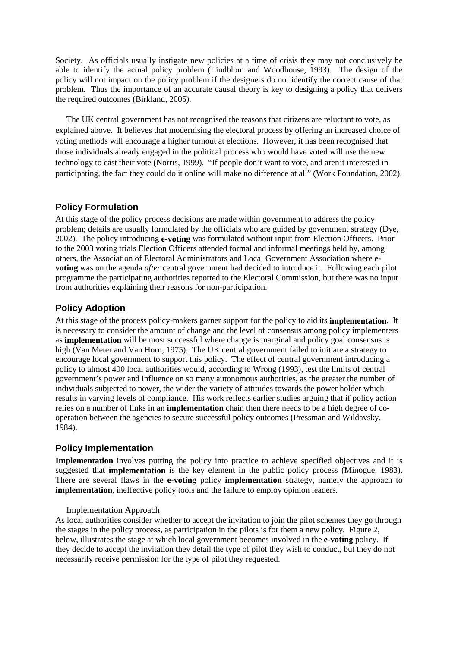Society. As officials usually instigate new policies at a time of crisis they may not conclusively be able to identify the actual policy problem (Lindblom and Woodhouse, 1993). The design of the policy will not impact on the policy problem if the designers do not identify the correct cause of that problem. Thus the importance of an accurate causal theory is key to designing a policy that delivers the required outcomes (Birkland, 2005).

The UK central government has not recognised the reasons that citizens are reluctant to vote, as explained above. It believes that modernising the electoral process by offering an increased choice of voting methods will encourage a higher turnout at elections. However, it has been recognised that those individuals already engaged in the political process who would have voted will use the new technology to cast their vote (Norris, 1999). "If people don't want to vote, and aren't interested in participating, the fact they could do it online will make no difference at all" (Work Foundation, 2002).

#### **Policy Formulation**

At this stage of the policy process decisions are made within government to address the policy problem; details are usually formulated by the officials who are guided by government strategy (Dye, 2002). The policy introducing **e-voting** was formulated without input from Election Officers. Prior to the 2003 voting trials Election Officers attended formal and informal meetings held by, among others, the Association of Electoral Administrators and Local Government Association where **evoting** was on the agenda *after* central government had decided to introduce it. Following each pilot programme the participating authorities reported to the Electoral Commission, but there was no input from authorities explaining their reasons for non-participation.

## **Policy Adoption**

At this stage of the process policy-makers garner support for the policy to aid its **implementation**. It is necessary to consider the amount of change and the level of consensus among policy implementers as **implementation** will be most successful where change is marginal and policy goal consensus is high (Van Meter and Van Horn, 1975). The UK central government failed to initiate a strategy to encourage local government to support this policy. The effect of central government introducing a policy to almost 400 local authorities would, according to Wrong (1993), test the limits of central government's power and influence on so many autonomous authorities, as the greater the number of individuals subjected to power, the wider the variety of attitudes towards the power holder which results in varying levels of compliance. His work reflects earlier studies arguing that if policy action relies on a number of links in an **implementation** chain then there needs to be a high degree of cooperation between the agencies to secure successful policy outcomes (Pressman and Wildavsky, 1984).

#### **Policy Implementation**

**Implementation** involves putting the policy into practice to achieve specified objectives and it is suggested that **implementation** is the key element in the public policy process (Minogue, 1983). There are several flaws in the **e-voting** policy **implementation** strategy, namely the approach to **implementation**, ineffective policy tools and the failure to employ opinion leaders.

#### Implementation Approach

As local authorities consider whether to accept the invitation to join the pilot schemes they go through the stages in the policy process, as participation in the pilots is for them a new policy. Figure 2, below, illustrates the stage at which local government becomes involved in the **e-voting** policy. If they decide to accept the invitation they detail the type of pilot they wish to conduct, but they do not necessarily receive permission for the type of pilot they requested.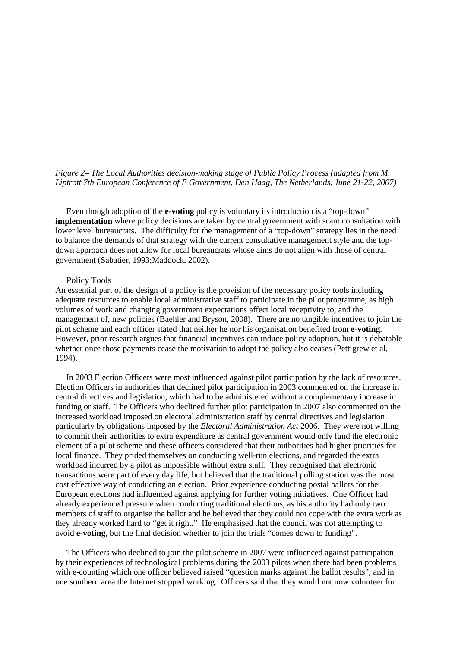#### *Figure 2– The Local Authorities decision-making stage of Public Policy Process (adapted from M. Liptrott 7th European Conference of E Government, Den Haag, The Netherlands, June 21-22, 2007)*

Even though adoption of the **e-voting** policy is voluntary its introduction is a "top-down" **implementation** where policy decisions are taken by central government with scant consultation with lower level bureaucrats. The difficulty for the management of a "top-down" strategy lies in the need to balance the demands of that strategy with the current consultative management style and the topdown approach does not allow for local bureaucrats whose aims do not align with those of central government (Sabatier, 1993;Maddock, 2002).

#### Policy Tools

An essential part of the design of a policy is the provision of the necessary policy tools including adequate resources to enable local administrative staff to participate in the pilot programme, as high volumes of work and changing government expectations affect local receptivity to, and the management of, new policies (Baehler and Bryson, 2008). There are no tangible incentives to join the pilot scheme and each officer stated that neither he nor his organisation benefited from **e-voting**. However, prior research argues that financial incentives can induce policy adoption, but it is debatable whether once those payments cease the motivation to adopt the policy also ceases (Pettigrew et al, 1994).

In 2003 Election Officers were most influenced against pilot participation by the lack of resources. Election Officers in authorities that declined pilot participation in 2003 commented on the increase in central directives and legislation, which had to be administered without a complementary increase in funding or staff. The Officers who declined further pilot participation in 2007 also commented on the increased workload imposed on electoral administration staff by central directives and legislation particularly by obligations imposed by the *Electoral Administration Act* 2006. They were not willing to commit their authorities to extra expenditure as central government would only fund the electronic element of a pilot scheme and these officers considered that their authorities had higher priorities for local finance. They prided themselves on conducting well-run elections, and regarded the extra workload incurred by a pilot as impossible without extra staff. They recognised that electronic transactions were part of every day life, but believed that the traditional polling station was the most cost effective way of conducting an election. Prior experience conducting postal ballots for the European elections had influenced against applying for further voting initiatives. One Officer had already experienced pressure when conducting traditional elections, as his authority had only two members of staff to organise the ballot and he believed that they could not cope with the extra work as they already worked hard to "get it right." He emphasised that the council was not attempting to avoid **e-voting**, but the final decision whether to join the trials "comes down to funding".

The Officers who declined to join the pilot scheme in 2007 were influenced against participation by their experiences of technological problems during the 2003 pilots when there had been problems with e-counting which one officer believed raised "question marks against the ballot results", and in one southern area the Internet stopped working. Officers said that they would not now volunteer for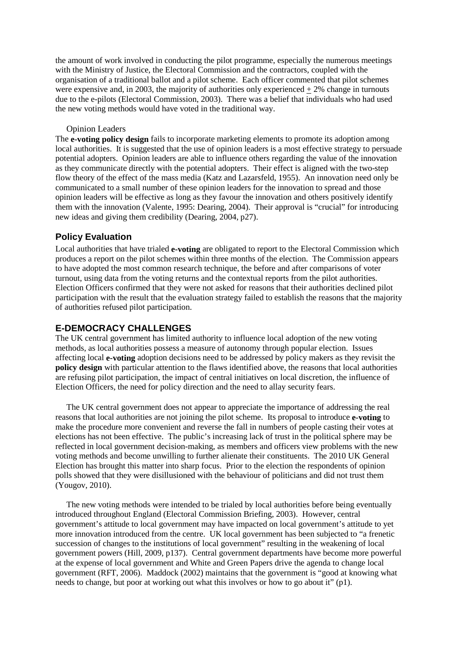the amount of work involved in conducting the pilot programme, especially the numerous meetings with the Ministry of Justice, the Electoral Commission and the contractors, coupled with the organisation of a traditional ballot and a pilot scheme. Each officer commented that pilot schemes were expensive and, in 2003, the majority of authorities only experienced  $+ 2\%$  change in turnouts due to the e-pilots (Electoral Commission, 2003). There was a belief that individuals who had used the new voting methods would have voted in the traditional way.

#### Opinion Leaders

The **e-voting policy design** fails to incorporate marketing elements to promote its adoption among local authorities. It is suggested that the use of opinion leaders is a most effective strategy to persuade potential adopters. Opinion leaders are able to influence others regarding the value of the innovation as they communicate directly with the potential adopters. Their effect is aligned with the two-step flow theory of the effect of the mass media (Katz and Lazarsfeld, 1955). An innovation need only be communicated to a small number of these opinion leaders for the innovation to spread and those opinion leaders will be effective as long as they favour the innovation and others positively identify them with the innovation (Valente, 1995: Dearing, 2004). Their approval is "crucial" for introducing new ideas and giving them credibility (Dearing, 2004, p27).

### **Policy Evaluation**

Local authorities that have trialed **e-voting** are obligated to report to the Electoral Commission which produces a report on the pilot schemes within three months of the election. The Commission appears to have adopted the most common research technique, the before and after comparisons of voter turnout, using data from the voting returns and the contextual reports from the pilot authorities. Election Officers confirmed that they were not asked for reasons that their authorities declined pilot participation with the result that the evaluation strategy failed to establish the reasons that the majority of authorities refused pilot participation.

#### **E-DEMOCRACY CHALLENGES**

The UK central government has limited authority to influence local adoption of the new voting methods, as local authorities possess a measure of autonomy through popular election. Issues affecting local **e-voting** adoption decisions need to be addressed by policy makers as they revisit the **policy design** with particular attention to the flaws identified above, the reasons that local authorities are refusing pilot participation, the impact of central initiatives on local discretion, the influence of Election Officers, the need for policy direction and the need to allay security fears.

The UK central government does not appear to appreciate the importance of addressing the real reasons that local authorities are not joining the pilot scheme. Its proposal to introduce **e-voting** to make the procedure more convenient and reverse the fall in numbers of people casting their votes at elections has not been effective. The public's increasing lack of trust in the political sphere may be reflected in local government decision-making, as members and officers view problems with the new voting methods and become unwilling to further alienate their constituents. The 2010 UK General Election has brought this matter into sharp focus. Prior to the election the respondents of opinion polls showed that they were disillusioned with the behaviour of politicians and did not trust them (Yougov, 2010).

The new voting methods were intended to be trialed by local authorities before being eventually introduced throughout England (Electoral Commission Briefing, 2003). However, central government's attitude to local government may have impacted on local government's attitude to yet more innovation introduced from the centre. UK local government has been subjected to "a frenetic succession of changes to the institutions of local government" resulting in the weakening of local government powers (Hill, 2009, p137). Central government departments have become more powerful at the expense of local government and White and Green Papers drive the agenda to change local government (RFT, 2006). Maddock (2002) maintains that the government is "good at knowing what needs to change, but poor at working out what this involves or how to go about it" (p1).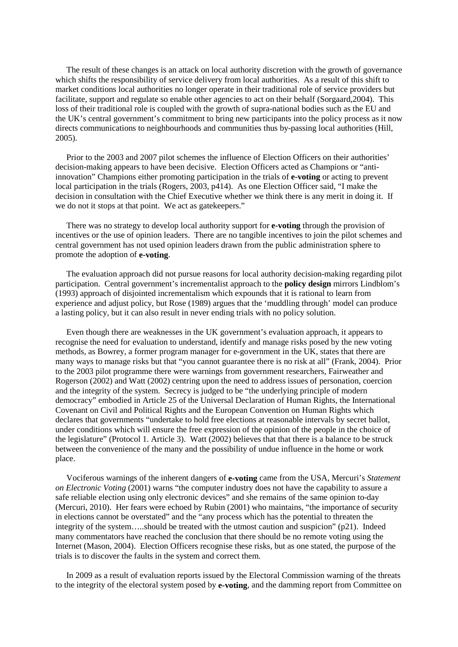The result of these changes is an attack on local authority discretion with the growth of governance which shifts the responsibility of service delivery from local authorities. As a result of this shift to market conditions local authorities no longer operate in their traditional role of service providers but facilitate, support and regulate so enable other agencies to act on their behalf (Sorgaard,2004). This loss of their traditional role is coupled with the growth of supra-national bodies such as the EU and the UK's central government's commitment to bring new participants into the policy process as it now directs communications to neighbourhoods and communities thus by-passing local authorities (Hill, 2005).

Prior to the 2003 and 2007 pilot schemes the influence of Election Officers on their authorities' decision-making appears to have been decisive. Election Officers acted as Champions or "antiinnovation" Champions either promoting participation in the trials of **e-voting** or acting to prevent local participation in the trials (Rogers, 2003, p414). As one Election Officer said, "I make the decision in consultation with the Chief Executive whether we think there is any merit in doing it. If we do not it stops at that point. We act as gatekeepers."

There was no strategy to develop local authority support for **e-voting** through the provision of incentives or the use of opinion leaders. There are no tangible incentives to join the pilot schemes and central government has not used opinion leaders drawn from the public administration sphere to promote the adoption of **e-voting**.

The evaluation approach did not pursue reasons for local authority decision-making regarding pilot participation. Central government's incrementalist approach to the **policy design** mirrors Lindblom's (1993) approach of disjointed incrementalism which expounds that it is rational to learn from experience and adjust policy, but Rose (1989) argues that the 'muddling through' model can produce a lasting policy, but it can also result in never ending trials with no policy solution.

Even though there are weaknesses in the UK government's evaluation approach, it appears to recognise the need for evaluation to understand, identify and manage risks posed by the new voting methods, as Bowrey, a former program manager for e-government in the UK, states that there are many ways to manage risks but that "you cannot guarantee there is no risk at all" (Frank, 2004). Prior to the 2003 pilot programme there were warnings from government researchers, Fairweather and Rogerson (2002) and Watt (2002) centring upon the need to address issues of personation, coercion and the integrity of the system. Secrecy is judged to be "the underlying principle of modern democracy" embodied in Article 25 of the Universal Declaration of Human Rights, the International Covenant on Civil and Political Rights and the European Convention on Human Rights which declares that governments "undertake to hold free elections at reasonable intervals by secret ballot, under conditions which will ensure the free expression of the opinion of the people in the choice of the legislature" (Protocol 1. Article 3). Watt (2002) believes that that there is a balance to be struck between the convenience of the many and the possibility of undue influence in the home or work place.

Vociferous warnings of the inherent dangers of **e-voting** came from the USA, Mercuri's *Statement on Electronic Voting* (2001) warns "the computer industry does not have the capability to assure a safe reliable election using only electronic devices" and she remains of the same opinion to-day (Mercuri, 2010). Her fears were echoed by Rubin (2001) who maintains, "the importance of security in elections cannot be overstated" and the "any process which has the potential to threaten the integrity of the system…..should be treated with the utmost caution and suspicion" (p21). Indeed many commentators have reached the conclusion that there should be no remote voting using the Internet (Mason, 2004). Election Officers recognise these risks, but as one stated, the purpose of the trials is to discover the faults in the system and correct them.

In 2009 as a result of evaluation reports issued by the Electoral Commission warning of the threats to the integrity of the electoral system posed by **e-voting**, and the damming report from Committee on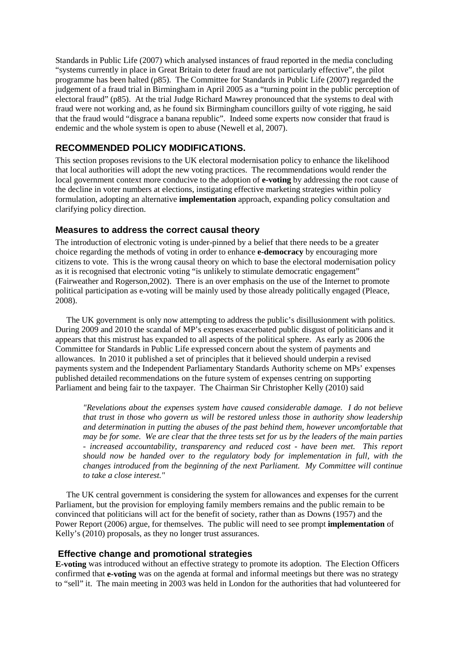Standards in Public Life (2007) which analysed instances of fraud reported in the media concluding "systems currently in place in Great Britain to deter fraud are not particularly effective", the pilot programme has been halted (p85). The Committee for Standards in Public Life (2007) regarded the judgement of a fraud trial in Birmingham in April 2005 as a "turning point in the public perception of electoral fraud" (p85). At the trial Judge Richard Mawrey pronounced that the systems to deal with fraud were not working and, as he found six Birmingham councillors guilty of vote rigging, he said that the fraud would "disgrace a banana republic". Indeed some experts now consider that fraud is endemic and the whole system is open to abuse (Newell et al, 2007).

## **RECOMMENDED POLICY MODIFICATIONS.**

This section proposes revisions to the UK electoral modernisation policy to enhance the likelihood that local authorities will adopt the new voting practices. The recommendations would render the local government context more conducive to the adoption of **e-voting** by addressing the root cause of the decline in voter numbers at elections, instigating effective marketing strategies within policy formulation, adopting an alternative **implementation** approach, expanding policy consultation and clarifying policy direction.

#### **Measures to address the correct causal theory**

The introduction of electronic voting is under-pinned by a belief that there needs to be a greater choice regarding the methods of voting in order to enhance **e-democracy** by encouraging more citizens to vote. This is the wrong causal theory on which to base the electoral modernisation policy as it is recognised that electronic voting "is unlikely to stimulate democratic engagement" (Fairweather and Rogerson,2002). There is an over emphasis on the use of the Internet to promote political participation as e-voting will be mainly used by those already politically engaged (Pleace, 2008).

The UK government is only now attempting to address the public's disillusionment with politics. During 2009 and 2010 the scandal of MP's expenses exacerbated public disgust of politicians and it appears that this mistrust has expanded to all aspects of the political sphere. As early as 2006 the Committee for Standards in Public Life expressed concern about the system of payments and allowances. In 2010 it published a set of principles that it believed should underpin a revised payments system and the Independent Parliamentary Standards Authority scheme on MPs' expenses published detailed recommendations on the future system of expenses centring on supporting Parliament and being fair to the taxpayer. The Chairman Sir Christopher Kelly (2010) said

*"Revelations about the expenses system have caused considerable damage. I do not believe that trust in those who govern us will be restored unless those in authority show leadership and determination in putting the abuses of the past behind them, however uncomfortable that may be for some. We are clear that the three tests set for us by the leaders of the main parties - increased accountability, transparency and reduced cost - have been met. This report should now be handed over to the regulatory body for implementation in full, with the changes introduced from the beginning of the next Parliament. My Committee will continue to take a close interest."*

The UK central government is considering the system for allowances and expenses for the current Parliament, but the provision for employing family members remains and the public remain to be convinced that politicians will act for the benefit of society, rather than as Downs (1957) and the Power Report (2006) argue, for themselves. The public will need to see prompt **implementation** of Kelly's (2010) proposals, as they no longer trust assurances.

#### **Effective change and promotional strategies**

**E-voting** was introduced without an effective strategy to promote its adoption. The Election Officers confirmed that **e-voting** was on the agenda at formal and informal meetings but there was no strategy to "sell" it. The main meeting in 2003 was held in London for the authorities that had volunteered for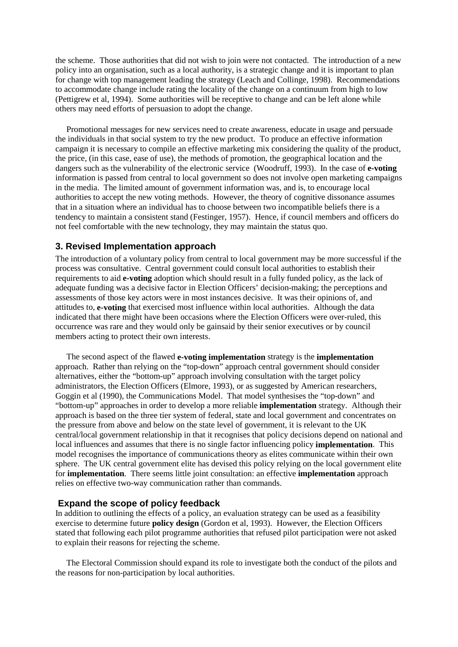the scheme. Those authorities that did not wish to join were not contacted. The introduction of a new policy into an organisation, such as a local authority, is a strategic change and it is important to plan for change with top management leading the strategy (Leach and Collinge, 1998). Recommendations to accommodate change include rating the locality of the change on a continuum from high to low (Pettigrew et al, 1994). Some authorities will be receptive to change and can be left alone while others may need efforts of persuasion to adopt the change.

Promotional messages for new services need to create awareness, educate in usage and persuade the individuals in that social system to try the new product. To produce an effective information campaign it is necessary to compile an effective marketing mix considering the quality of the product, the price, (in this case, ease of use), the methods of promotion, the geographical location and the dangers such as the vulnerability of the electronic service (Woodruff, 1993). In the case of **e-voting** information is passed from central to local government so does not involve open marketing campaigns in the media. The limited amount of government information was, and is, to encourage local authorities to accept the new voting methods. However, the theory of cognitive dissonance assumes that in a situation where an individual has to choose between two incompatible beliefs there is a tendency to maintain a consistent stand (Festinger, 1957). Hence, if council members and officers do not feel comfortable with the new technology, they may maintain the status quo.

#### **3. Revised Implementation approach**

The introduction of a voluntary policy from central to local government may be more successful if the process was consultative. Central government could consult local authorities to establish their requirements to aid **e-voting** adoption which should result in a fully funded policy, as the lack of adequate funding was a decisive factor in Election Officers' decision-making; the perceptions and assessments of those key actors were in most instances decisive. It was their opinions of, and attitudes to, **e-voting** that exercised most influence within local authorities. Although the data indicated that there might have been occasions where the Election Officers were over-ruled, this occurrence was rare and they would only be gainsaid by their senior executives or by council members acting to protect their own interests.

The second aspect of the flawed **e-voting implementation** strategy is the **implementation** approach. Rather than relying on the "top-down" approach central government should consider alternatives, either the "bottom-up" approach involving consultation with the target policy administrators, the Election Officers (Elmore, 1993), or as suggested by American researchers, Goggin et al (1990), the Communications Model. That model synthesises the "top-down" and "bottom-up" approaches in order to develop a more reliable **implementation** strategy. Although their approach is based on the three tier system of federal, state and local government and concentrates on the pressure from above and below on the state level of government, it is relevant to the UK central/local government relationship in that it recognises that policy decisions depend on national and local influences and assumes that there is no single factor influencing policy **implementation**. This model recognises the importance of communications theory as elites communicate within their own sphere. The UK central government elite has devised this policy relying on the local government elite for **implementation**. There seems little joint consultation: an effective **implementation** approach relies on effective two-way communication rather than commands.

#### **Expand the scope of policy feedback**

In addition to outlining the effects of a policy, an evaluation strategy can be used as a feasibility exercise to determine future **policy design** (Gordon et al, 1993). However, the Election Officers stated that following each pilot programme authorities that refused pilot participation were not asked to explain their reasons for rejecting the scheme.

The Electoral Commission should expand its role to investigate both the conduct of the pilots and the reasons for non-participation by local authorities.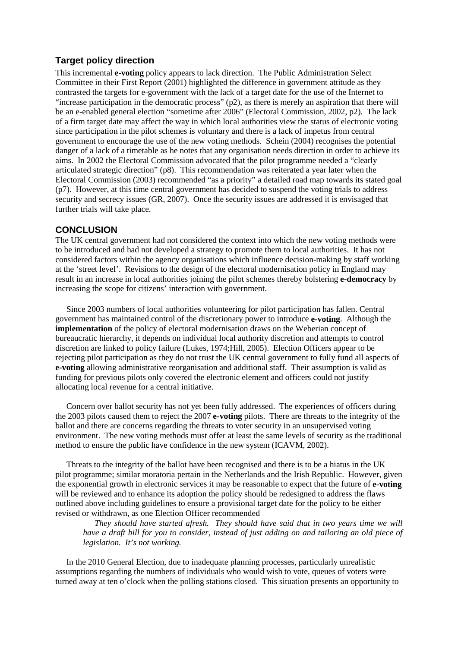## **Target policy direction**

This incremental **e-voting** policy appears to lack direction. The Public Administration Select Committee in their First Report (2001) highlighted the difference in government attitude as they contrasted the targets for e-government with the lack of a target date for the use of the Internet to "increase participation in the democratic process" (p2), as there is merely an aspiration that there will be an e-enabled general election "sometime after 2006" (Electoral Commission, 2002, p2). The lack of a firm target date may affect the way in which local authorities view the status of electronic voting since participation in the pilot schemes is voluntary and there is a lack of impetus from central government to encourage the use of the new voting methods. Schein (2004) recognises the potential danger of a lack of a timetable as he notes that any organisation needs direction in order to achieve its aims. In 2002 the Electoral Commission advocated that the pilot programme needed a "clearly articulated strategic direction" (p8). This recommendation was reiterated a year later when the Electoral Commission (2003) recommended "as a priority" a detailed road map towards its stated goal (p7). However, at this time central government has decided to suspend the voting trials to address security and secrecy issues (GR, 2007). Once the security issues are addressed it is envisaged that further trials will take place.

#### **CONCLUSION**

The UK central government had not considered the context into which the new voting methods were to be introduced and had not developed a strategy to promote them to local authorities. It has not considered factors within the agency organisations which influence decision-making by staff working at the 'street level'. Revisions to the design of the electoral modernisation policy in England may result in an increase in local authorities joining the pilot schemes thereby bolstering **e-democracy** by increasing the scope for citizens' interaction with government.

Since 2003 numbers of local authorities volunteering for pilot participation has fallen. Central government has maintained control of the discretionary power to introduce **e-voting**. Although the **implementation** of the policy of electoral modernisation draws on the Weberian concept of bureaucratic hierarchy, it depends on individual local authority discretion and attempts to control discretion are linked to policy failure (Lukes, 1974;Hill, 2005). Election Officers appear to be rejecting pilot participation as they do not trust the UK central government to fully fund all aspects of **e-voting** allowing administrative reorganisation and additional staff. Their assumption is valid as funding for previous pilots only covered the electronic element and officers could not justify allocating local revenue for a central initiative.

Concern over ballot security has not yet been fully addressed. The experiences of officers during the 2003 pilots caused them to reject the 2007 **e-voting** pilots. There are threats to the integrity of the ballot and there are concerns regarding the threats to voter security in an unsupervised voting environment. The new voting methods must offer at least the same levels of security as the traditional method to ensure the public have confidence in the new system (ICAVM, 2002).

Threats to the integrity of the ballot have been recognised and there is to be a hiatus in the UK pilot programme; similar moratoria pertain in the Netherlands and the Irish Republic. However, given the exponential growth in electronic services it may be reasonable to expect that the future of **e-voting** will be reviewed and to enhance its adoption the policy should be redesigned to address the flaws outlined above including guidelines to ensure a provisional target date for the policy to be either revised or withdrawn, as one Election Officer recommended

*They should have started afresh. They should have said that in two years time we will have a draft bill for you to consider, instead of just adding on and tailoring an old piece of legislation. It's not working.*

In the 2010 General Election, due to inadequate planning processes, particularly unrealistic assumptions regarding the numbers of individuals who would wish to vote, queues of voters were turned away at ten o'clock when the polling stations closed. This situation presents an opportunity to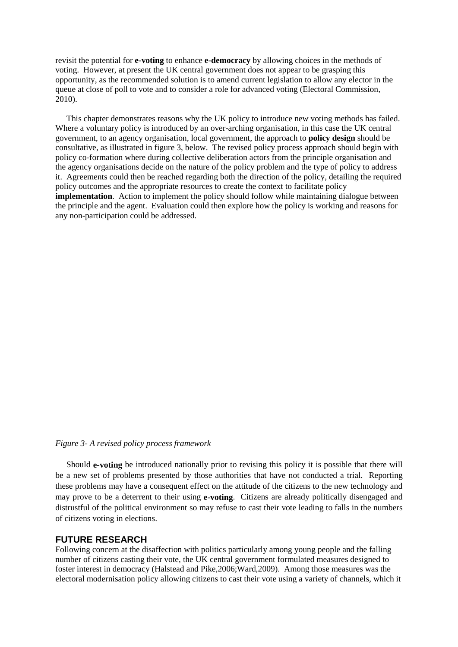revisit the potential for **e-voting** to enhance **e-democracy** by allowing choices in the methods of voting. However, at present the UK central government does not appear to be grasping this opportunity, as the recommended solution is to amend current legislation to allow any elector in the queue at close of poll to vote and to consider a role for advanced voting (Electoral Commission, 2010).

This chapter demonstrates reasons why the UK policy to introduce new voting methods has failed. Where a voluntary policy is introduced by an over-arching organisation, in this case the UK central government, to an agency organisation, local government, the approach to **policy design** should be consultative, as illustrated in figure 3, below. The revised policy process approach should begin with policy co-formation where during collective deliberation actors from the principle organisation and the agency organisations decide on the nature of the policy problem and the type of policy to address it. Agreements could then be reached regarding both the direction of the policy, detailing the required policy outcomes and the appropriate resources to create the context to facilitate policy **implementation**. Action to implement the policy should follow while maintaining dialogue between the principle and the agent. Evaluation could then explore how the policy is working and reasons for any non-participation could be addressed.

#### *Figure 3- A revised policy process framework*

Should **e-voting** be introduced nationally prior to revising this policy it is possible that there will be a new set of problems presented by those authorities that have not conducted a trial. Reporting these problems may have a consequent effect on the attitude of the citizens to the new technology and may prove to be a deterrent to their using **e-voting**. Citizens are already politically disengaged and distrustful of the political environment so may refuse to cast their vote leading to falls in the numbers of citizens voting in elections.

#### **FUTURE RESEARCH**

Following concern at the disaffection with politics particularly among young people and the falling number of citizens casting their vote, the UK central government formulated measures designed to foster interest in democracy (Halstead and Pike,2006;Ward,2009). Among those measures was the electoral modernisation policy allowing citizens to cast their vote using a variety of channels, which it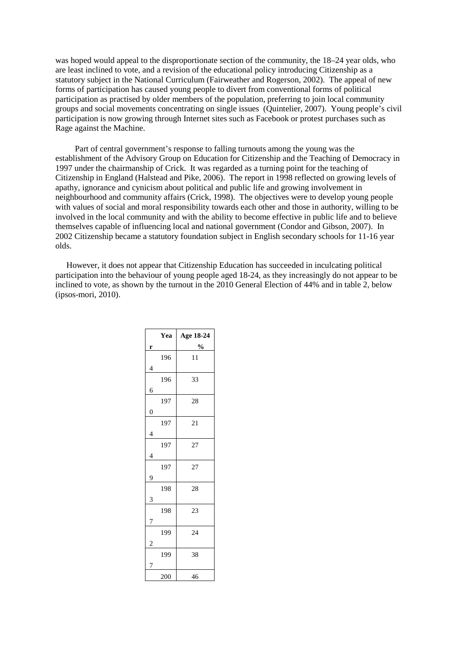was hoped would appeal to the disproportionate section of the community, the 18–24 year olds, who are least inclined to vote, and a revision of the educational policy introducing Citizenship as a statutory subject in the National Curriculum (Fairweather and Rogerson, 2002). The appeal of new forms of participation has caused young people to divert from conventional forms of political participation as practised by older members of the population, preferring to join local community groups and social movements concentrating on single issues (Quintelier, 2007). Young people's civil participation is now growing through Internet sites such as Facebook or protest purchases such as Rage against the Machine.

 Part of central government's response to falling turnouts among the young was the establishment of the Advisory Group on Education for Citizenship and the Teaching of Democracy in 1997 under the chairmanship of Crick. It was regarded as a turning point for the teaching of Citizenship in England (Halstead and Pike, 2006). The report in 1998 reflected on growing levels of apathy, ignorance and cynicism about political and public life and growing involvement in neighbourhood and community affairs (Crick, 1998). The objectives were to develop young people with values of social and moral responsibility towards each other and those in authority, willing to be involved in the local community and with the ability to become effective in public life and to believe themselves capable of influencing local and national government (Condor and Gibson, 2007). In 2002 Citizenship became a statutory foundation subject in English secondary schools for 11-16 year olds.

However, it does not appear that Citizenship Education has succeeded in inculcating political participation into the behaviour of young people aged 18-24, as they increasingly do not appear to be inclined to vote, as shown by the turnout in the 2010 General Election of 44% and in table 2, below (ipsos-mori, 2010).

|                | Yea | Age 18-24     |
|----------------|-----|---------------|
| r              |     | $\frac{0}{0}$ |
|                | 196 | 11            |
| 4              |     |               |
|                | 196 | 33            |
| 6              |     |               |
|                | 197 | 28            |
| $\overline{0}$ |     |               |
|                | 197 | 21            |
| 4              |     |               |
|                | 197 | 27            |
| 4              |     |               |
|                | 197 | 27            |
| 9              |     |               |
|                | 198 | 28            |
| 3              |     |               |
|                | 198 | 23            |
|                |     |               |
|                | 199 | 24            |
| 2              |     |               |
|                | 199 | 38            |
| 7              |     |               |
|                | 200 | 46            |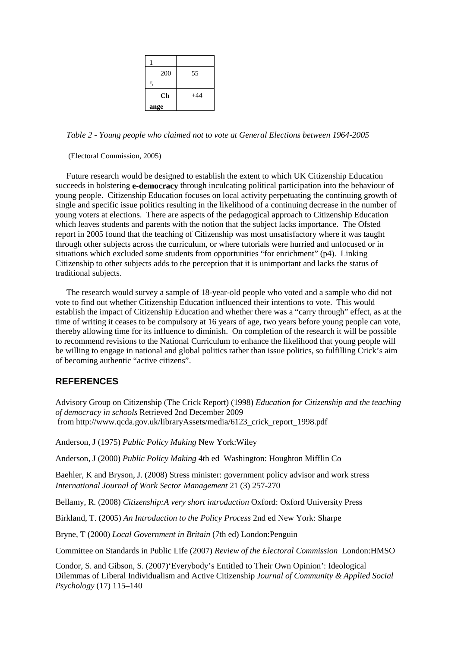| 200            | 55    |
|----------------|-------|
| $\overline{5}$ |       |
| Ch             | $+44$ |
| ange           |       |

*Table 2 - Young people who claimed not to vote at General Elections between 1964-2005*

(Electoral Commission, 2005)

Future research would be designed to establish the extent to which UK Citizenship Education succeeds in bolstering **e-democracy** through inculcating political participation into the behaviour of young people. Citizenship Education focuses on local activity perpetuating the continuing growth of single and specific issue politics resulting in the likelihood of a continuing decrease in the number of young voters at elections. There are aspects of the pedagogical approach to Citizenship Education which leaves students and parents with the notion that the subject lacks importance. The Ofsted report in 2005 found that the teaching of Citizenship was most unsatisfactory where it was taught through other subjects across the curriculum, or where tutorials were hurried and unfocused or in situations which excluded some students from opportunities "for enrichment" (p4). Linking Citizenship to other subjects adds to the perception that it is unimportant and lacks the status of traditional subjects.

The research would survey a sample of 18-year-old people who voted and a sample who did not vote to find out whether Citizenship Education influenced their intentions to vote. This would establish the impact of Citizenship Education and whether there was a "carry through" effect, as at the time of writing it ceases to be compulsory at 16 years of age, two years before young people can vote, thereby allowing time for its influence to diminish. On completion of the research it will be possible to recommend revisions to the National Curriculum to enhance the likelihood that young people will be willing to engage in national and global politics rather than issue politics, so fulfilling Crick's aim of becoming authentic "active citizens".

## **REFERENCES**

Advisory Group on Citizenship (The Crick Report) (1998) *Education for Citizenship and the teaching of democracy in schools* Retrieved 2nd December 2009 from http://www.qcda.gov.uk/libraryAssets/media/6123\_crick\_report\_1998.pdf

Anderson, J (1975) *Public Policy Making* New York:Wiley

Anderson, J (2000) *Public Policy Making* 4th ed Washington: Houghton Mifflin Co

Baehler, K and Bryson, J. (2008) Stress minister: government policy advisor and work stress *International Journal of Work Sector Management* 21 (3) 257-270

Bellamy, R. (2008) *Citizenship:A very short introduction* Oxford: Oxford University Press

Birkland, T. (2005) *An Introduction to the Policy Process* 2nd ed New York: Sharpe

Bryne, T (2000) *Local Government in Britain* (7th ed) London:Penguin

Committee on Standards in Public Life (2007) *Review of the Electoral Commission* London:HMSO

Condor, S. and Gibson, S. (2007)'Everybody's Entitled to Their Own Opinion': Ideological Dilemmas of Liberal Individualism and Active Citizenship *Journal of Community & Applied Social Psychology* (17) 115–140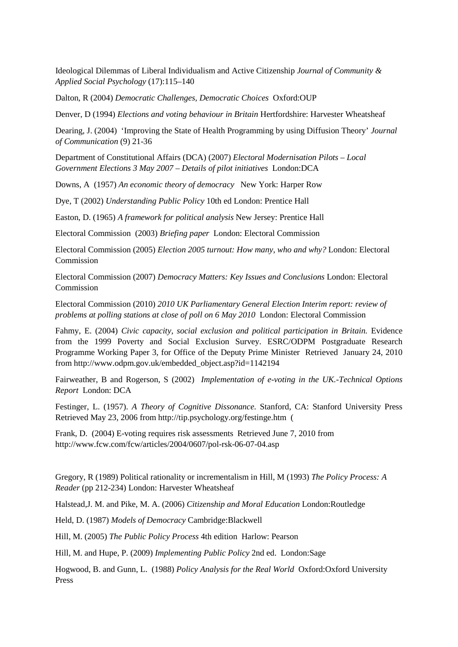Ideological Dilemmas of Liberal Individualism and Active Citizenship *Journal of Community & Applied Social Psychology* (17):115–140

Dalton, R (2004) *Democratic Challenges, Democratic Choices* Oxford:OUP

Denver, D (1994) *Elections and voting behaviour in Britain* Hertfordshire: Harvester Wheatsheaf

Dearing, J. (2004) 'Improving the State of Health Programming by using Diffusion Theory' *Journal of Communication* (9) 21-36

Department of Constitutional Affairs (DCA) (2007) *Electoral Modernisation Pilots – Local Government Elections 3 May 2007 – Details of pilot initiatives* London:DCA

Downs, A (1957) *An economic theory of democracy* New York: Harper Row

Dye, T (2002) *Understanding Public Policy* 10th ed London: Prentice Hall

Easton, D. (1965) *A framework for political analysis* New Jersey: Prentice Hall

Electoral Commission (2003) *Briefing paper* London: Electoral Commission

Electoral Commission (2005) *Election 2005 turnout: How many, who and why?* London: Electoral Commission

Electoral Commission (2007) *Democracy Matters: Key Issues and Conclusions* London: Electoral Commission

Electoral Commission (2010) *2010 UK Parliamentary General Election Interim report: review of problems at polling stations at close of poll on 6 May 2010* London: Electoral Commission

Fahmy, E. (2004) *Civic capacity, social exclusion and political participation in Britain.* Evidence from the 1999 Poverty and Social Exclusion Survey. ESRC/ODPM Postgraduate Research Programme Working Paper 3, for Office of the Deputy Prime Minister Retrieved January 24, 2010 from http://www.odpm.gov.uk/embedded\_object.asp?id=1142194

Fairweather, B and Rogerson, S (2002) *Implementation of e-voting in the UK.-Technical Options Report* London: DCA

Festinger, L. (1957). *A Theory of Cognitive Dissonance.* Stanford, CA: Stanford University Press Retrieved May 23, 2006 from http://tip.psychology.org/festinge.htm (

Frank, D. (2004) E-voting requires risk assessments Retrieved June 7, 2010 from http://www.fcw.com/fcw/articles/2004/0607/pol-rsk-06-07-04.asp

Gregory, R (1989) Political rationality or incrementalism in Hill, M (1993) *The Policy Process: A Reader* (pp 212-234) London: Harvester Wheatsheaf

Halstead,J. M. and Pike, M. A. (2006) *Citizenship and Moral Education* London:Routledge

Held, D. (1987) *Models of Democracy* Cambridge:Blackwell

Hill, M. (2005) *The Public Policy Process* 4th edition Harlow: Pearson

Hill, M. and Hupe, P. (2009) *Implementing Public Policy* 2nd ed. London:Sage

Hogwood, B. and Gunn, L. (1988) *Policy Analysis for the Real World* Oxford:Oxford University Press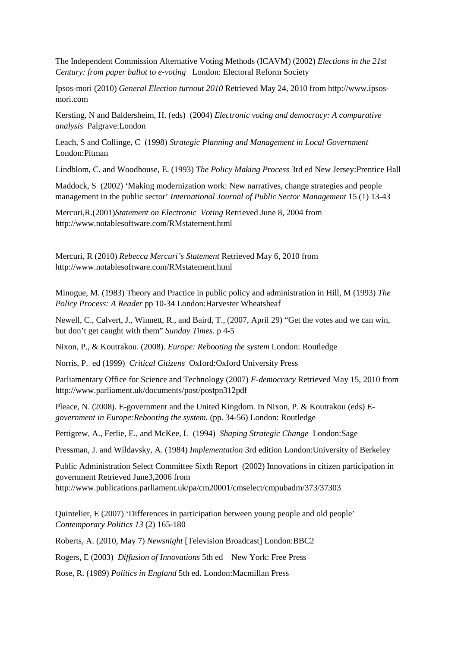The Independent Commission Alternative Voting Methods (ICAVM) (2002) *Elections in the 21st Century: from paper ballot to e-voting* London: Electoral Reform Society

Ipsos-mori (2010) *General Election turnout 2010* Retrieved May 24, 2010 from http://www.ipsosmori.com

Kersting, N and Baldersheim, H. (eds) (2004) *Electronic voting and democracy: A comparative analysis* Palgrave:London

Leach, S and Collinge, C (1998) *Strategic Planning and Management in Local Government* London:Pitman

Lindblom, C. and Woodhouse, E. (1993) *The Policy Making Process* 3rd ed New Jersey:Prentice Hall

Maddock, S (2002) 'Making modernization work: New narratives, change strategies and people management in the public sector' *International Journal of Public Sector Management* 15 (1) 13-43

Mercuri,R.(2001)*Statement on Electronic Voting* Retrieved June 8, 2004 from http://www.notablesoftware.com/RMstatement.html

Mercuri, R (2010) *Rebecca Mercuri's Statement* Retrieved May 6, 2010 from http://www.notablesoftware.com/RMstatement.html

Minogue, M. (1983) Theory and Practice in public policy and administration in Hill, M (1993) *The Policy Process: A Reader* pp 10-34 London:Harvester Wheatsheaf

Newell, C., Calvert, J., Winnett, R., and Baird, T., (2007, April 29) "Get the votes and we can win, but don't get caught with them" *Sunday Times*. p 4-5

Nixon, P., & Koutrakou. (2008). *Europe: Rebooting the system* London: Routledge

Norris, P. ed (1999) *Critical Citizens* Oxford:Oxford University Press

Parliamentary Office for Science and Technology (2007) *E-democracy* Retrieved May 15, 2010 from http://www.parliament.uk/documents/post/postpn312pdf

Pleace, N. (2008). E-government and the United Kingdom. In Nixon, P. & Koutrakou (eds) *Egovernment in Europe:Rebooting the system*. (pp. 34-56) London: Routledge

Pettigrew, A., Ferlie, E., and McKee, L (1994) *Shaping Strategic Change* London:Sage

Pressman, J. and Wildavsky, A. (1984) *Implementation* 3rd edition London:University of Berkeley

Public Administration Select Committee Sixth Report (2002) Innovations in citizen participation in government Retrieved June3,2006 from http://www.publications.parliament.uk/pa/cm20001/cmselect/cmpubadm/373/37303

Quintelier, E (2007) 'Differences in participation between young people and old people' *Contemporary Politics 13* (2) 165-180

Roberts, A. (2010, May 7) *Newsnight* [Television Broadcast] London:BBC2

Rogers, E (2003) *Diffusion of Innovations* 5th ed New York: Free Press

Rose, R. (1989) *Politics in England* 5th ed. London:Macmillan Press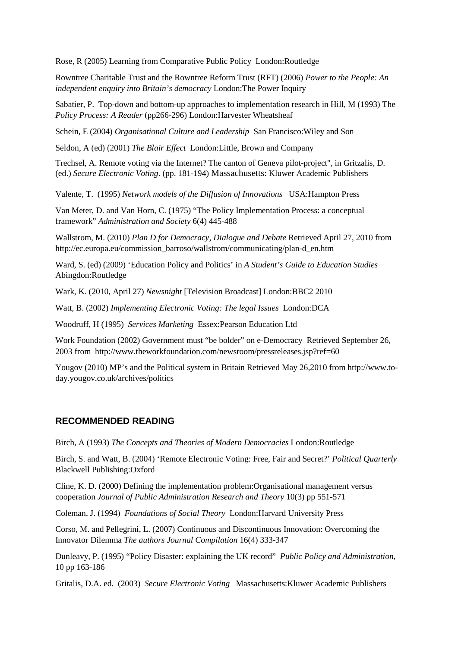Rose, R (2005) Learning from Comparative Public Policy London:Routledge

Rowntree Charitable Trust and the Rowntree Reform Trust (RFT) (2006) *Power to the People: An independent enquiry into Britain's democracy* London:The Power Inquiry

Sabatier, P. Top-down and bottom-up approaches to implementation research in Hill, M (1993) The *Policy Process: A Reader* (pp266-296) London:Harvester Wheatsheaf

Schein, E (2004) *Organisational Culture and Leadership* San Francisco:Wiley and Son

Seldon, A (ed) (2001) *The Blair Effect* London:Little, Brown and Company

Trechsel, A. Remote voting via the Internet? The canton of Geneva pilot-project", in Gritzalis, D. (ed.) *Secure Electronic Voting*. (pp. 181-194) Massachusetts: Kluwer Academic Publishers

Valente, T. (1995) *Network models of the Diffusion of Innovations* USA:Hampton Press

Van Meter, D. and Van Horn, C. (1975) "The Policy Implementation Process: a conceptual framework" *Administration and Society* 6(4) 445-488

Wallstrom, M. (2010) *Plan D for Democracy, Dialogue and Debate* Retrieved April 27, 2010 from http://ec.europa.eu/commission\_barroso/wallstrom/communicating/plan-d\_en.htm

Ward, S. (ed) (2009) 'Education Policy and Politics' in *A Student's Guide to Education Studies* Abingdon:Routledge

Wark, K. (2010, April 27) *Newsnight* [Television Broadcast] London:BBC2 2010

Watt, B. (2002) *Implementing Electronic Voting: The legal Issues* London:DCA

Woodruff, H (1995) *Services Marketing* Essex:Pearson Education Ltd

Work Foundation (2002) Government must "be bolder" on e-Democracy Retrieved September 26, 2003 from http://www.theworkfoundation.com/newsroom/pressreleases.jsp?ref=60

Yougov (2010) MP's and the Political system in Britain Retrieved May 26,2010 from http://www.today.yougov.co.uk/archives/politics

#### **RECOMMENDED READING**

Birch, A (1993) *The Concepts and Theories of Modern Democracies* London:Routledge

Birch, S. and Watt, B. (2004) 'Remote Electronic Voting: Free, Fair and Secret?' *Political Quarterly* Blackwell Publishing:Oxford

Cline, K. D. (2000) Defining the implementation problem:Organisational management versus cooperation *Journal of Public Administration Research and Theory* 10(3) pp 551-571

Coleman, J. (1994) *Foundations of Social Theory* London:Harvard University Press

Corso, M. and Pellegrini, L. (2007) Continuous and Discontinuous Innovation: Overcoming the Innovator Dilemma *The authors Journal Compilation* 16(4) 333-347

Dunleavy, P. (1995) "Policy Disaster: explaining the UK record" *Public Policy and Administration,*  10 pp 163-186

Gritalis, D.A. ed. (2003) *Secure Electronic Voting* Massachusetts:Kluwer Academic Publishers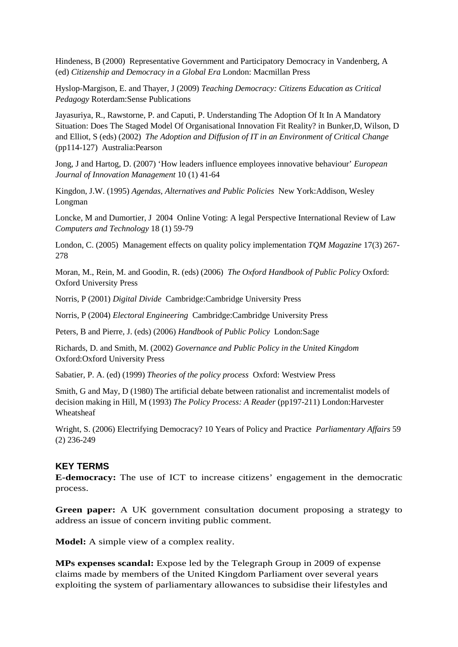Hindeness, B (2000) Representative Government and Participatory Democracy in Vandenberg, A (ed) *Citizenship and Democracy in a Global Era* London: Macmillan Press

Hyslop-Margison, E. and Thayer, J (2009) *Teaching Democracy: Citizens Education as Critical Pedagogy* Roterdam:Sense Publications

Jayasuriya, R., Rawstorne, P. and Caputi, P. Understanding The Adoption Of It In A Mandatory Situation: Does The Staged Model Of Organisational Innovation Fit Reality? in Bunker,D, Wilson, D and Elliot, S (eds) (2002) *The Adoption and Diffusion of IT in an Environment of Critical Change* (pp114-127) Australia:Pearson

Jong, J and Hartog, D. (2007) 'How leaders influence employees innovative behaviour' *European Journal of Innovation Management* 10 (1) 41-64

Kingdon, J.W. (1995) *Agendas, Alternatives and Public Policies* New York:Addison, Wesley Longman

Loncke, M and Dumortier, J 2004 Online Voting: A legal Perspective International Review of Law *Computers and Technology* 18 (1) 59-79

London, C. (2005) Management effects on quality policy implementation *TQM Magazine* 17(3) 267- 278

Moran, M., Rein, M. and Goodin, R. (eds) (2006) *The Oxford Handbook of Public Policy* Oxford: Oxford University Press

Norris, P (2001) *Digital Divide* Cambridge:Cambridge University Press

Norris, P (2004) *Electoral Engineering* Cambridge:Cambridge University Press

Peters, B and Pierre, J. (eds) (2006) *Handbook of Public Policy* London:Sage

Richards, D. and Smith, M. (2002) *Governance and Public Policy in the United Kingdom* Oxford:Oxford University Press

Sabatier, P. A. (ed) (1999) *Theories of the policy process* Oxford: Westview Press

Smith, G and May, D (1980) The artificial debate between rationalist and incrementalist models of decision making in Hill, M (1993) *The Policy Process: A Reader* (pp197-211) London:Harvester Wheatsheaf

Wright, S. (2006) Electrifying Democracy? 10 Years of Policy and Practice *Parliamentary Affairs* 59 (2) 236-249

#### **KEY TERMS**

**E-democracy:** The use of ICT to increase citizens' engagement in the democratic process.

**Green paper:** A UK government consultation document proposing a strategy to address an issue of concern inviting public comment.

**Model:** A simple view of a complex reality.

**MPs expenses scandal:** Expose led by the Telegraph Group in 2009 of expense claims made by members of the United Kingdom Parliament over several years exploiting the system of parliamentary allowances to subsidise their lifestyles and